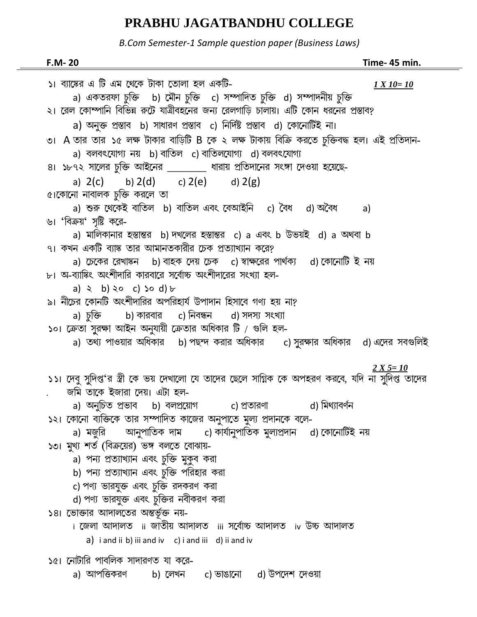## PRABHU JAGATBANDHU COLLEGE

B.Com Semester-1 Sample question paper (Business Laws)

| F.M-20                                                                                                                     | Time- 45 min. |
|----------------------------------------------------------------------------------------------------------------------------|---------------|
| ১। ব্যাঙ্কের এ টি এম থেকে টাকা তোলা হল একটি-                                                                               | $1 X 10 = 10$ |
| a) একতরফা চুক্তি b) মৌন চুক্তি c) সম্পাদিত চুক্তি d) সম্পাদনীয় চুক্তি                                                     |               |
| ২। রেল কোম্পানি বিভিন্ন রুটে যাত্রীবহনের জন্য রেলগাড়ি চালায়। এটি কোন ধরনের প্রস্তাব?                                     |               |
| a) অনুক্ত প্রস্তাব b) সাধারণ প্রস্তাব c) নির্দিষ্ট প্রস্তাব d) কোনোটিই না।                                                 |               |
| ৩।  A তার তার ১৫ লক্ষ টাকার বাড়িটি B কে ২ লক্ষ টাকায় বিক্রি করতে চুক্তিবদ্ধ হল। এই প্রতিদান-                             |               |
| a) বলবৎযোগ্য নয় b) বাতিল c) বাতিলযোগ্য d) বলবৎযোগ্য                                                                       |               |
| ৪। ১৮৭২ সালের চুক্তি আইনের ________ ধারায় প্রতিদানের সংঙ্গা দেওয়া হয়েছে-                                                |               |
| a) $2(c)$ b) $2(d)$ c) $2(e)$ d) $2(g)$                                                                                    |               |
| ৫।কোনো নাবালক চুক্তি করলে তা                                                                                               |               |
| a) শুরু থেকেই বাতিল b) বাতিল এবং বেআইনি c) বৈধ d) অবৈধ a)                                                                  |               |
| ৬। 'বিক্রয়' সৃষ্টি করে-                                                                                                   |               |
| a) মালিকানার হস্তান্তর b) দখলের হস্তান্তর c) a এবং b উভয়ই d) a অথবা b                                                     |               |
| ৭। কখন একটি ব্যাঙ্ক তার আমানতকারীর চেক প্রত্যাখ্যান করে?                                                                   |               |
| a) চেকের রেখাঙ্কন   b) বাহক দেয় চেক   c) স্বাক্ষরের পার্থক্য   d) কোনোটি ই নয়                                            |               |
| ৮। অ-ব্যাঙ্কিং অংশীদারি কারবারে সর্বোচ্চ অংশীদারের সংখ্যা হল-                                                              |               |
| a) $\ge$ b) $\ge$ c) $\ge$ d) $\triangleright$<br>৯। নীচের কোনটি অংশীদারির অপরিহার্য উপাদান হিসাবে গণ্য হয় না?            |               |
| a) চুক্তি b) কারবার c) নিবন্ধন d) সদস্য সংখ্যা                                                                             |               |
| ১০। ক্রেতা সুরক্ষা আইন অনুযায়ী ক্রেতার অধিকার টি / গুলি হল-                                                               |               |
| a) তথ্য পাওয়ার অধিকার b) পছন্দ করার অধিকার c) সুরক্ষার অধিকার d) এদের সবগুলিই                                             |               |
|                                                                                                                            |               |
|                                                                                                                            | $2 X 5 = 10$  |
| ১১। দেবু সুদিপ্ত'র স্ত্রী কে ভয় দেখালো যে তাদের ছেলে সাগ্নিক কে অপহরণ করবে, যদি না সুদিপ্ত তাদের                          |               |
| জমি তাকে ইজারা দেয়। এটা হল-                                                                                               |               |
| a) অনুচিত প্ৰভাব b) বলপ্ৰয়োগ c) প্ৰতাৱণা বা ( ) মিথ্যাবৰ্ণন                                                               |               |
| ১২। কোনো ব্যক্তিকে তার সম্পাদিত কাজের অনুপাতে মুল্য প্রদানকে বলে-                                                          |               |
| a) মজুরি    আনুপাতিক দাম     c) কার্যানুপাতিক মুল্যপ্রদান   d) কোনোটিই নয়<br>১৩। মুখ্য শর্ত (বিক্রয়ের) ভঙ্গ বলতে বোঝায়- |               |
| a) পন্য প্রত্যাখ্যান এবং চুক্তি মুকুব করা                                                                                  |               |
| b) পন্য প্রত্যাখ্যান এবং চুক্তি পরিহার করা                                                                                 |               |
| c) পণ্য ভারযুক্ত এবং চুক্তি রদকরণ করা                                                                                      |               |
| d) পণ্য ভারযুক্ত এবং চুক্তির নবীকরণ করা                                                                                    |               |
| ১৪। ভোক্তার আদালতের অন্তর্ভূক্ত নয়-                                                                                       |               |
| i জেলা আদালত  ii জাতীয় আদালত  iii সৰ্বোচ্চ আদালত  iv উচ্চ আদালত                                                           |               |
| $a)$ i and ii b) iii and iv c) i and iii d) ii and iv                                                                      |               |
| ১৫। নোটারি পাবলিক সাদারণত যা করে-                                                                                          |               |
| a) আপত্তিকরণ<br>b) লেখন  c) ভাঙানো  d) উপদেশ দেওয়া                                                                        |               |